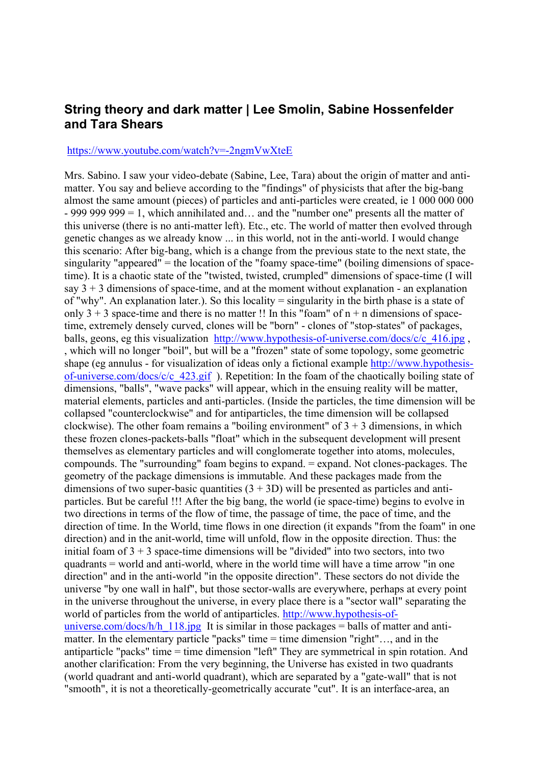## **String theory and dark matter | Lee Smolin, Sabine Hossenfelder and Tara Shears**

## <https://www.youtube.com/watch?v=-2ngmVwXteE>

Mrs. Sabino. I saw your video-debate (Sabine, Lee, Tara) about the origin of matter and antimatter. You say and believe according to the "findings" of physicists that after the big-bang almost the same amount (pieces) of particles and anti-particles were created, ie 1 000 000 000 - 999 999 999 = 1, which annihilated and… and the "number one" presents all the matter of this universe (there is no anti-matter left). Etc., etc. The world of matter then evolved through genetic changes as we already know ... in this world, not in the anti-world. I would change this scenario: After big-bang, which is a change from the previous state to the next state, the singularity "appeared" = the location of the "foamy space-time" (boiling dimensions of spacetime). It is a chaotic state of the "twisted, twisted, crumpled" dimensions of space-time (I will say  $3 + 3$  dimensions of space-time, and at the moment without explanation - an explanation of "why". An explanation later.). So this locality = singularity in the birth phase is a state of only  $3 + 3$  space-time and there is no matter !! In this "foam" of  $n + n$  dimensions of spacetime, extremely densely curved, clones will be "born" - clones of "stop-states" of packages, balls, geons, eg this visualization http://www.hypothesis-of-universe.com/docs/c/c 416.jpg , , which will no longer "boil", but will be a "frozen" state of some topology, some geometric shape (eg annulus - for visualization of ideas only a fictional example [http://www.hypothesis](http://www.hypothesis-of-universe.com/docs/c/c_423.gif)[of-universe.com/docs/c/c\\_423.gif](http://www.hypothesis-of-universe.com/docs/c/c_423.gif) ). Repetition: In the foam of the chaotically boiling state of dimensions, "balls", "wave packs" will appear, which in the ensuing reality will be matter, material elements, particles and anti-particles. (Inside the particles, the time dimension will be collapsed "counterclockwise" and for antiparticles, the time dimension will be collapsed clockwise). The other foam remains a "boiling environment" of  $3 + 3$  dimensions, in which these frozen clones-packets-balls "float" which in the subsequent development will present themselves as elementary particles and will conglomerate together into atoms, molecules, compounds. The "surrounding" foam begins to expand.  $=$  expand. Not clones-packages. The geometry of the package dimensions is immutable. And these packages made from the dimensions of two super-basic quantities  $(3 + 3D)$  will be presented as particles and antiparticles. But be careful !!! After the big bang, the world (ie space-time) begins to evolve in two directions in terms of the flow of time, the passage of time, the pace of time, and the direction of time. In the World, time flows in one direction (it expands "from the foam" in one direction) and in the anit-world, time will unfold, flow in the opposite direction. Thus: the initial foam of  $3 + 3$  space-time dimensions will be "divided" into two sectors, into two quadrants = world and anti-world, where in the world time will have a time arrow "in one direction" and in the anti-world "in the opposite direction". These sectors do not divide the universe "by one wall in half", but those sector-walls are everywhere, perhaps at every point in the universe throughout the universe, in every place there is a "sector wall" separating the world of particles from the world of antiparticles. [http://www.hypothesis-of](http://www.hypothesis-of-universe.com/docs/h/h_118.jpg)[universe.com/docs/h/h\\_118.jpg](http://www.hypothesis-of-universe.com/docs/h/h_118.jpg) It is similar in those packages = balls of matter and antimatter. In the elementary particle "packs" time = time dimension "right"…, and in the antiparticle "packs" time = time dimension "left" They are symmetrical in spin rotation. And another clarification: From the very beginning, the Universe has existed in two quadrants (world quadrant and anti-world quadrant), which are separated by a "gate-wall" that is not "smooth", it is not a theoretically-geometrically accurate "cut". It is an interface-area, an